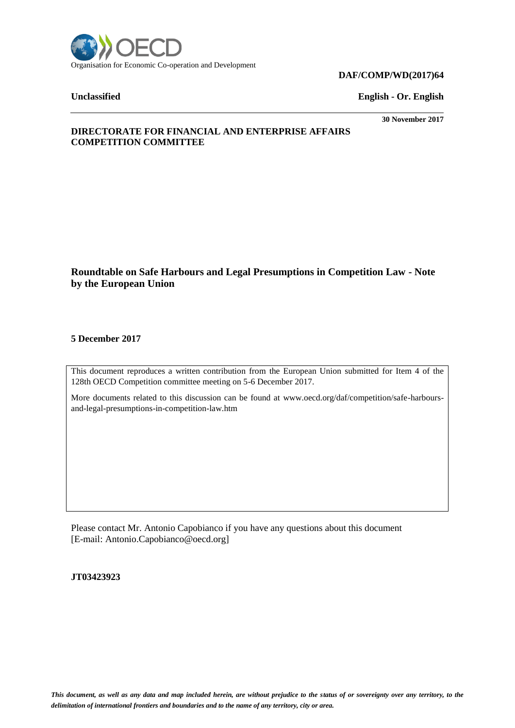

#### **DAF/COMP/WD(2017)64**

**Unclassified English - Or. English**

**30 November 2017**

# **DIRECTORATE FOR FINANCIAL AND ENTERPRISE AFFAIRS COMPETITION COMMITTEE**

# **Roundtable on Safe Harbours and Legal Presumptions in Competition Law - Note by the European Union**

# **5 December 2017**

This document reproduces a written contribution from the European Union submitted for Item 4 of the 128th OECD Competition committee meeting on 5-6 December 2017.

More documents related to this discussion can be found at www.oecd.org/daf/competition/safe-harboursand-legal-presumptions-in-competition-law.htm

Please contact Mr. Antonio Capobianco if you have any questions about this document [E-mail: Antonio.Capobianco@oecd.org]

**JT03423923**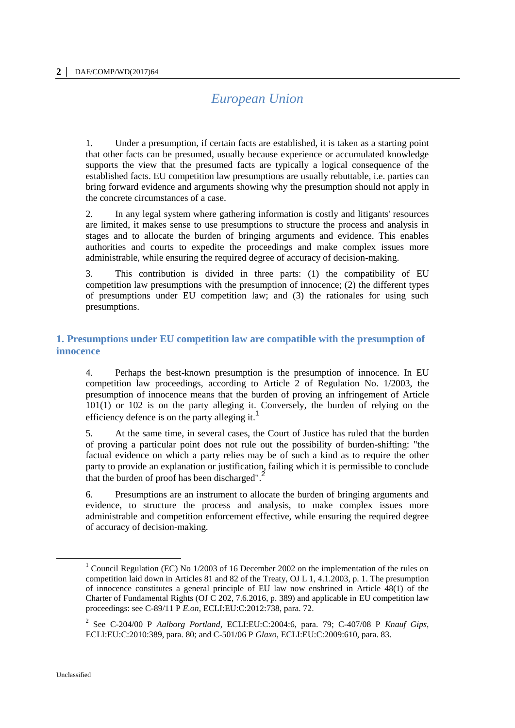# *European Union*

1. Under a presumption, if certain facts are established, it is taken as a starting point that other facts can be presumed, usually because experience or accumulated knowledge supports the view that the presumed facts are typically a logical consequence of the established facts. EU competition law presumptions are usually rebuttable, i.e. parties can bring forward evidence and arguments showing why the presumption should not apply in the concrete circumstances of a case.

2. In any legal system where gathering information is costly and litigants' resources are limited, it makes sense to use presumptions to structure the process and analysis in stages and to allocate the burden of bringing arguments and evidence. This enables authorities and courts to expedite the proceedings and make complex issues more administrable, while ensuring the required degree of accuracy of decision-making.

3. This contribution is divided in three parts: (1) the compatibility of EU competition law presumptions with the presumption of innocence; (2) the different types of presumptions under EU competition law; and (3) the rationales for using such presumptions.

# **1. Presumptions under EU competition law are compatible with the presumption of innocence**

4. Perhaps the best-known presumption is the presumption of innocence. In EU competition law proceedings, according to Article 2 of Regulation No. 1/2003, the presumption of innocence means that the burden of proving an infringement of Article 101(1) or 102 is on the party alleging it. Conversely, the burden of relying on the efficiency defence is on the party alleging it.

5. At the same time, in several cases, the Court of Justice has ruled that the burden of proving a particular point does not rule out the possibility of burden-shifting: "the factual evidence on which a party relies may be of such a kind as to require the other party to provide an explanation or justification, failing which it is permissible to conclude that the burden of proof has been discharged".<sup>2</sup>

6. Presumptions are an instrument to allocate the burden of bringing arguments and evidence, to structure the process and analysis, to make complex issues more administrable and competition enforcement effective, while ensuring the required degree of accuracy of decision-making.

 $\overline{a}$ 

<sup>&</sup>lt;sup>1</sup> Council Regulation (EC) No  $1/2003$  of 16 December 2002 on the implementation of the rules on competition laid down in Articles 81 and 82 of the Treaty, OJ L 1, 4.1.2003, p. 1. The presumption of innocence constitutes a general principle of EU law now enshrined in Article 48(1) of the Charter of Fundamental Rights (OJ C 202, 7.6.2016, p. 389) and applicable in EU competition law proceedings: see C-89/11 P *E.on*, ECLI:EU:C:2012:738, para. 72.

<sup>2</sup> See C-204/00 P *Aalborg Portland*, ECLI:EU:C:2004:6, para. 79; C-407/08 P *Knauf Gips*, ECLI:EU:C:2010:389, para. 80; and C-501/06 P *Glaxo*, ECLI:EU:C:2009:610, para. 83.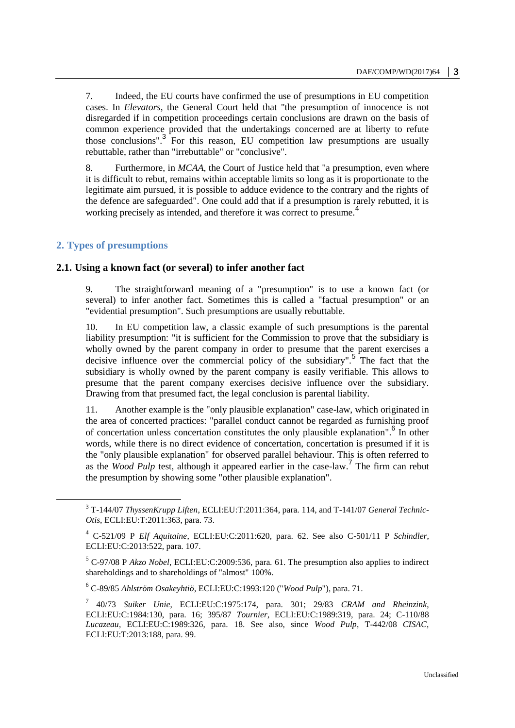7. Indeed, the EU courts have confirmed the use of presumptions in EU competition cases. In *Elevators*, the General Court held that "the presumption of innocence is not disregarded if in competition proceedings certain conclusions are drawn on the basis of common experience provided that the undertakings concerned are at liberty to refute those conclusions".<sup>3</sup> For this reason, EU competition law presumptions are usually rebuttable, rather than "irrebuttable" or "conclusive".

8. Furthermore, in *MCAA*, the Court of Justice held that "a presumption, even where it is difficult to rebut, remains within acceptable limits so long as it is proportionate to the legitimate aim pursued, it is possible to adduce evidence to the contrary and the rights of the defence are safeguarded". One could add that if a presumption is rarely rebutted, it is working precisely as intended, and therefore it was correct to presume.<sup>4</sup>

# **2. Types of presumptions**

 $\overline{a}$ 

#### **2.1. Using a known fact (or several) to infer another fact**

9. The straightforward meaning of a "presumption" is to use a known fact (or several) to infer another fact. Sometimes this is called a "factual presumption" or an "evidential presumption". Such presumptions are usually rebuttable.

10. In EU competition law, a classic example of such presumptions is the parental liability presumption: "it is sufficient for the Commission to prove that the subsidiary is wholly owned by the parent company in order to presume that the parent exercises a decisive influence over the commercial policy of the subsidiary".<sup>5</sup> The fact that the subsidiary is wholly owned by the parent company is easily verifiable. This allows to presume that the parent company exercises decisive influence over the subsidiary. Drawing from that presumed fact, the legal conclusion is parental liability.

11. Another example is the "only plausible explanation" case-law, which originated in the area of concerted practices: "parallel conduct cannot be regarded as furnishing proof of concertation unless concertation constitutes the only plausible explanation".<sup>6</sup> In other words, while there is no direct evidence of concertation, concertation is presumed if it is the "only plausible explanation" for observed parallel behaviour. This is often referred to as the *Wood Pulp* test, although it appeared earlier in the case-law.<sup>7</sup> The firm can rebut the presumption by showing some "other plausible explanation".

<sup>3</sup> T-144/07 *ThyssenKrupp Liften*, ECLI:EU:T:2011:364, para. 114, and T-141/07 *General Technic-Otis*, ECLI:EU:T:2011:363, para. 73.

<sup>4</sup> C-521/09 P *Elf Aquitaine*, ECLI:EU:C:2011:620, para. 62. See also C-501/11 P *Schindler*, ECLI:EU:C:2013:522, para. 107.

<sup>5</sup> C-97/08 P *Akzo Nobel*, ECLI:EU:C:2009:536, para. 61. The presumption also applies to indirect shareholdings and to shareholdings of "almost" 100%.

<sup>6</sup> C-89/85 *Ahlström Osakeyhtiö*, ECLI:EU:C:1993:120 ("*Wood Pulp*"), para. 71.

<sup>7</sup> 40/73 *Suiker Unie*, ECLI:EU:C:1975:174, para. 301; 29/83 *CRAM and Rheinzink*, ECLI:EU:C:1984:130, para. 16; 395/87 *Tournier*, ECLI:EU:C:1989:319, para. 24; C-110/88 *Lucazeau*, ECLI:EU:C:1989:326, para. 18. See also, since *Wood Pulp*, T-442/08 *CISAC*, ECLI:EU:T:2013:188, para. 99.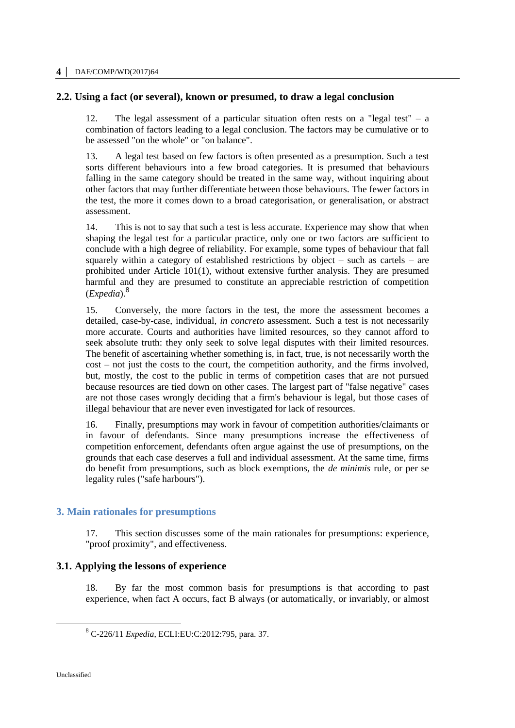# **2.2. Using a fact (or several), known or presumed, to draw a legal conclusion**

12. The legal assessment of a particular situation often rests on a "legal test" – a combination of factors leading to a legal conclusion. The factors may be cumulative or to be assessed "on the whole" or "on balance".

13. A legal test based on few factors is often presented as a presumption. Such a test sorts different behaviours into a few broad categories. It is presumed that behaviours falling in the same category should be treated in the same way, without inquiring about other factors that may further differentiate between those behaviours. The fewer factors in the test, the more it comes down to a broad categorisation, or generalisation, or abstract assessment.

14. This is not to say that such a test is less accurate. Experience may show that when shaping the legal test for a particular practice, only one or two factors are sufficient to conclude with a high degree of reliability. For example, some types of behaviour that fall squarely within a category of established restrictions by object – such as cartels – are prohibited under Article 101(1), without extensive further analysis. They are presumed harmful and they are presumed to constitute an appreciable restriction of competition (*Expedia*).<sup>8</sup>

15. Conversely, the more factors in the test, the more the assessment becomes a detailed, case-by-case, individual, *in concreto* assessment. Such a test is not necessarily more accurate. Courts and authorities have limited resources, so they cannot afford to seek absolute truth: they only seek to solve legal disputes with their limited resources. The benefit of ascertaining whether something is, in fact, true, is not necessarily worth the cost – not just the costs to the court, the competition authority, and the firms involved, but, mostly, the cost to the public in terms of competition cases that are not pursued because resources are tied down on other cases. The largest part of "false negative" cases are not those cases wrongly deciding that a firm's behaviour is legal, but those cases of illegal behaviour that are never even investigated for lack of resources.

16. Finally, presumptions may work in favour of competition authorities/claimants or in favour of defendants. Since many presumptions increase the effectiveness of competition enforcement, defendants often argue against the use of presumptions, on the grounds that each case deserves a full and individual assessment. At the same time, firms do benefit from presumptions, such as block exemptions, the *de minimis* rule, or per se legality rules ("safe harbours").

# **3. Main rationales for presumptions**

17. This section discusses some of the main rationales for presumptions: experience, "proof proximity", and effectiveness.

# **3.1. Applying the lessons of experience**

18. By far the most common basis for presumptions is that according to past experience, when fact A occurs, fact B always (or automatically, or invariably, or almost

 $\overline{a}$ 

<sup>8</sup> C-226/11 *Expedia*, ECLI:EU:C:2012:795, para. 37.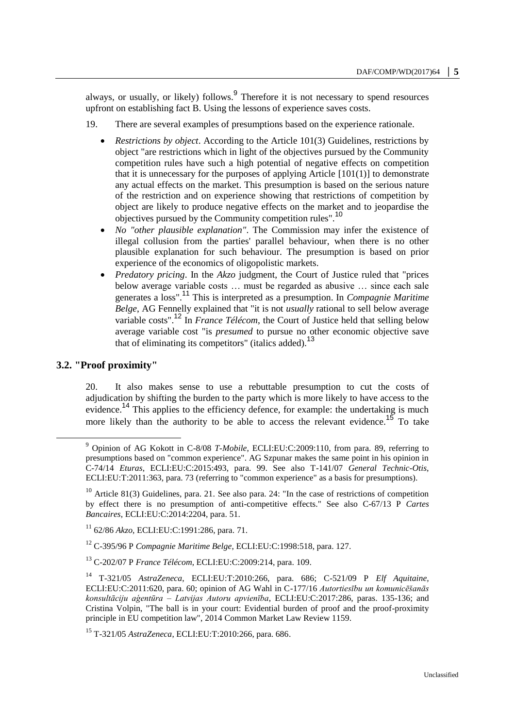always, or usually, or likely) follows.<sup>9</sup> Therefore it is not necessary to spend resources upfront on establishing fact B. Using the lessons of experience saves costs.

- 19. There are several examples of presumptions based on the experience rationale.
	- *Restrictions by object*. According to the Article 101(3) Guidelines, restrictions by object "are restrictions which in light of the objectives pursued by the Community competition rules have such a high potential of negative effects on competition that it is unnecessary for the purposes of applying Article [101(1)] to demonstrate any actual effects on the market. This presumption is based on the serious nature of the restriction and on experience showing that restrictions of competition by object are likely to produce negative effects on the market and to jeopardise the objectives pursued by the Community competition rules".<sup>10</sup>
	- *No "other plausible explanation"*. The Commission may infer the existence of illegal collusion from the parties' parallel behaviour, when there is no other plausible explanation for such behaviour. The presumption is based on prior experience of the economics of oligopolistic markets.
	- *Predatory pricing*. In the *Akzo* judgment, the Court of Justice ruled that "prices below average variable costs … must be regarded as abusive … since each sale generates a loss".<sup>11</sup> This is interpreted as a presumption. In *Compagnie Maritime Belge*, AG Fennelly explained that "it is not *usually* rational to sell below average variable costs".<sup>12</sup> In *France Télécom*, the Court of Justice held that selling below average variable cost "is *presumed* to pursue no other economic objective save that of eliminating its competitors" (italics added).<sup>13</sup>

# **3.2. "Proof proximity"**

 $\overline{a}$ 

20. It also makes sense to use a rebuttable presumption to cut the costs of adjudication by shifting the burden to the party which is more likely to have access to the evidence.<sup>14</sup> This applies to the efficiency defence, for example: the undertaking is much more likely than the authority to be able to access the relevant evidence.<sup>15</sup> To take

<sup>12</sup> C-395/96 P *Compagnie Maritime Belge*, ECLI:EU:C:1998:518, para. 127.

<sup>13</sup> C-202/07 P *France Télécom*, ECLI:EU:C:2009:214, para. 109.

<sup>15</sup> T-321/05 *AstraZeneca*, ECLI:EU:T:2010:266, para. 686.

<sup>9</sup> Opinion of AG Kokott in C-8/08 *T-Mobile*, ECLI:EU:C:2009:110, from para. 89, referring to presumptions based on "common experience". AG Szpunar makes the same point in his opinion in C-74/14 *Eturas*, ECLI:EU:C:2015:493, para. 99. See also T-141/07 *General Technic-Otis*, ECLI:EU:T:2011:363, para. 73 (referring to "common experience" as a basis for presumptions).

<sup>&</sup>lt;sup>10</sup> Article 81(3) Guidelines, para. 21. See also para. 24: "In the case of restrictions of competition by effect there is no presumption of anti-competitive effects." See also C-67/13 P *Cartes Bancaires*, ECLI:EU:C:2014:2204, para. 51.

<sup>11</sup> 62/86 *Akzo*, ECLI:EU:C:1991:286, para. 71.

<sup>14</sup> T-321/05 *AstraZeneca*, ECLI:EU:T:2010:266, para. 686; C-521/09 P *Elf Aquitaine,*  ECLI:EU:C:2011:620, para. 60; opinion of AG Wahl in C-177/16 *Autortiesību un komunicēšanās konsultāciju aģentūra – Latvijas Autoru apvienība*, ECLI:EU:C:2017:286, paras. 135-136; and Cristina Volpin, "The ball is in your court: Evidential burden of proof and the proof-proximity principle in EU competition law", 2014 Common Market Law Review 1159.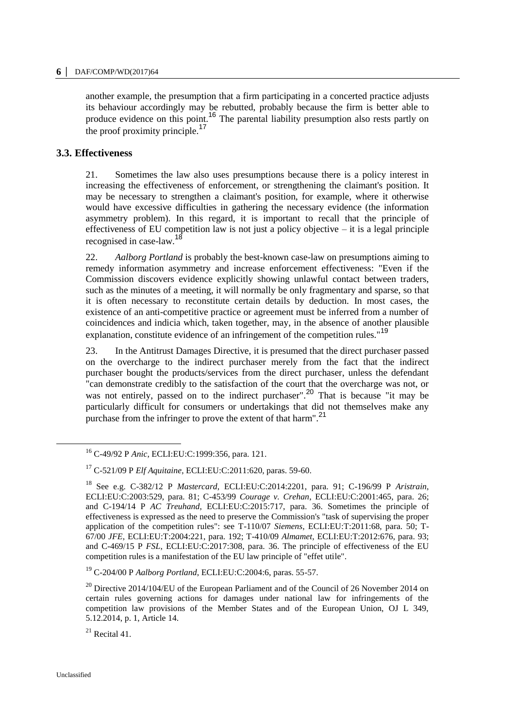another example, the presumption that a firm participating in a concerted practice adjusts its behaviour accordingly may be rebutted, probably because the firm is better able to produce evidence on this point.<sup>16</sup> The parental liability presumption also rests partly on the proof proximity principle.<sup>17</sup>

### **3.3. Effectiveness**

21. Sometimes the law also uses presumptions because there is a policy interest in increasing the effectiveness of enforcement, or strengthening the claimant's position. It may be necessary to strengthen a claimant's position, for example, where it otherwise would have excessive difficulties in gathering the necessary evidence (the information asymmetry problem). In this regard, it is important to recall that the principle of effectiveness of EU competition law is not just a policy objective  $-$  it is a legal principle recognised in case-law.<sup>18</sup>

22. *Aalborg Portland* is probably the best-known case-law on presumptions aiming to remedy information asymmetry and increase enforcement effectiveness: "Even if the Commission discovers evidence explicitly showing unlawful contact between traders, such as the minutes of a meeting, it will normally be only fragmentary and sparse, so that it is often necessary to reconstitute certain details by deduction. In most cases, the existence of an anti-competitive practice or agreement must be inferred from a number of coincidences and indicia which, taken together, may, in the absence of another plausible explanation, constitute evidence of an infringement of the competition rules."<sup>19</sup>

23. In the Antitrust Damages Directive, it is presumed that the direct purchaser passed on the overcharge to the indirect purchaser merely from the fact that the indirect purchaser bought the products/services from the direct purchaser, unless the defendant "can demonstrate credibly to the satisfaction of the court that the overcharge was not, or was not entirely, passed on to the indirect purchaser".<sup>20</sup> That is because "it may be particularly difficult for consumers or undertakings that did not themselves make any purchase from the infringer to prove the extent of that harm".<sup>21</sup>

 $^{21}$  Recital 41.

 $\overline{a}$ 

<sup>16</sup> C-49/92 P *Anic*, ECLI:EU:C:1999:356, para. 121.

<sup>17</sup> C-521/09 P *Elf Aquitaine*, ECLI:EU:C:2011:620, paras. 59-60.

<sup>18</sup> See e.g. C-382/12 P *Mastercard*, ECLI:EU:C:2014:2201, para. 91; C-196/99 P *Aristrain*, ECLI:EU:C:2003:529, para. 81; C-453/99 *Courage v. Crehan*, ECLI:EU:C:2001:465, para. 26; and C-194/14 P *AC Treuhand*, ECLI:EU:C:2015:717, para. 36. Sometimes the principle of effectiveness is expressed as the need to preserve the Commission's "task of supervising the proper application of the competition rules": see T-110/07 *Siemens*, ECLI:EU:T:2011:68, para. 50; T-67/00 *JFE*, ECLI:EU:T:2004:221, para. 192; T-410/09 *Almamet*, ECLI:EU:T:2012:676, para. 93; and C-469/15 P *FSL*, ECLI:EU:C:2017:308, para. 36. The principle of effectiveness of the EU competition rules is a manifestation of the EU law principle of "effet utile".

<sup>19</sup> C-204/00 P *Aalborg Portland*, ECLI:EU:C:2004:6, paras. 55-57.

 $^{20}$  Directive 2014/104/EU of the European Parliament and of the Council of 26 November 2014 on certain rules governing actions for damages under national law for infringements of the competition law provisions of the Member States and of the European Union, OJ L 349, 5.12.2014, p. 1, Article 14.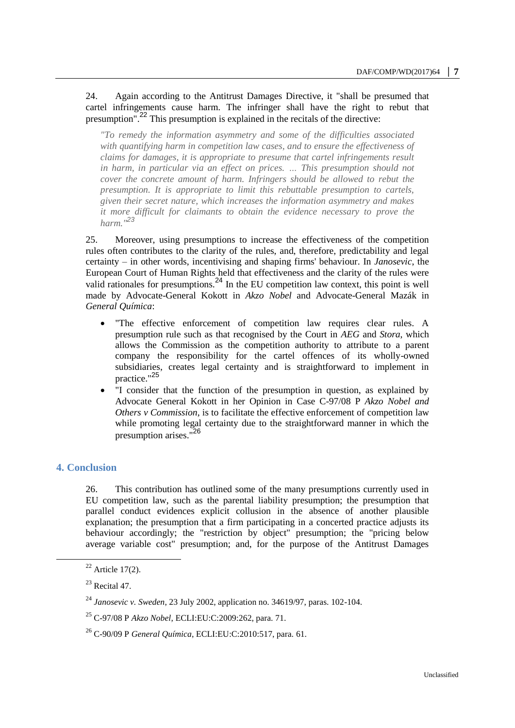### 24. Again according to the Antitrust Damages Directive, it "shall be presumed that cartel infringements cause harm. The infringer shall have the right to rebut that presumption".<sup>22</sup> This presumption is explained in the recitals of the directive:

*"To remedy the information asymmetry and some of the difficulties associated with quantifying harm in competition law cases, and to ensure the effectiveness of claims for damages, it is appropriate to presume that cartel infringements result*  in harm, in particular via an effect on prices. ... This presumption should not *cover the concrete amount of harm. Infringers should be allowed to rebut the presumption. It is appropriate to limit this rebuttable presumption to cartels, given their secret nature, which increases the information asymmetry and makes it more difficult for claimants to obtain the evidence necessary to prove the harm."<sup>23</sup>*

25. Moreover, using presumptions to increase the effectiveness of the competition rules often contributes to the clarity of the rules, and, therefore, predictability and legal certainty – in other words, incentivising and shaping firms' behaviour. In *Janosevic*, the European Court of Human Rights held that effectiveness and the clarity of the rules were valid rationales for presumptions.<sup>24</sup> In the EU competition law context, this point is well made by Advocate-General Kokott in *Akzo Nobel* and Advocate-General Mazák in *General Química*:

- "The effective enforcement of competition law requires clear rules. A presumption rule such as that recognised by the Court in *AEG* and *Stora*, which allows the Commission as the competition authority to attribute to a parent company the responsibility for the cartel offences of its wholly-owned subsidiaries, creates legal certainty and is straightforward to implement in practice."<sup>25</sup>
- "I consider that the function of the presumption in question, as explained by Advocate General Kokott in her Opinion in Case C-97/08 P *Akzo Nobel and Others v Commission*, is to facilitate the effective enforcement of competition law while promoting legal certainty due to the straightforward manner in which the presumption arises."<sup>26</sup>

# **4. Conclusion**

 $\overline{a}$ 

26. This contribution has outlined some of the many presumptions currently used in EU competition law, such as the parental liability presumption; the presumption that parallel conduct evidences explicit collusion in the absence of another plausible explanation; the presumption that a firm participating in a concerted practice adjusts its behaviour accordingly; the "restriction by object" presumption; the "pricing below average variable cost" presumption; and, for the purpose of the Antitrust Damages

 $22$  Article 17(2).

 $^{23}$  Recital 47.

<sup>24</sup> *Janosevic v. Sweden*, 23 July 2002, application no. 34619/97, paras. 102-104.

<sup>25</sup> C-97/08 P *Akzo Nobel*, ECLI:EU:C:2009:262, para. 71.

<sup>26</sup> C-90/09 P *General Química*, ECLI:EU:C:2010:517, para. 61.